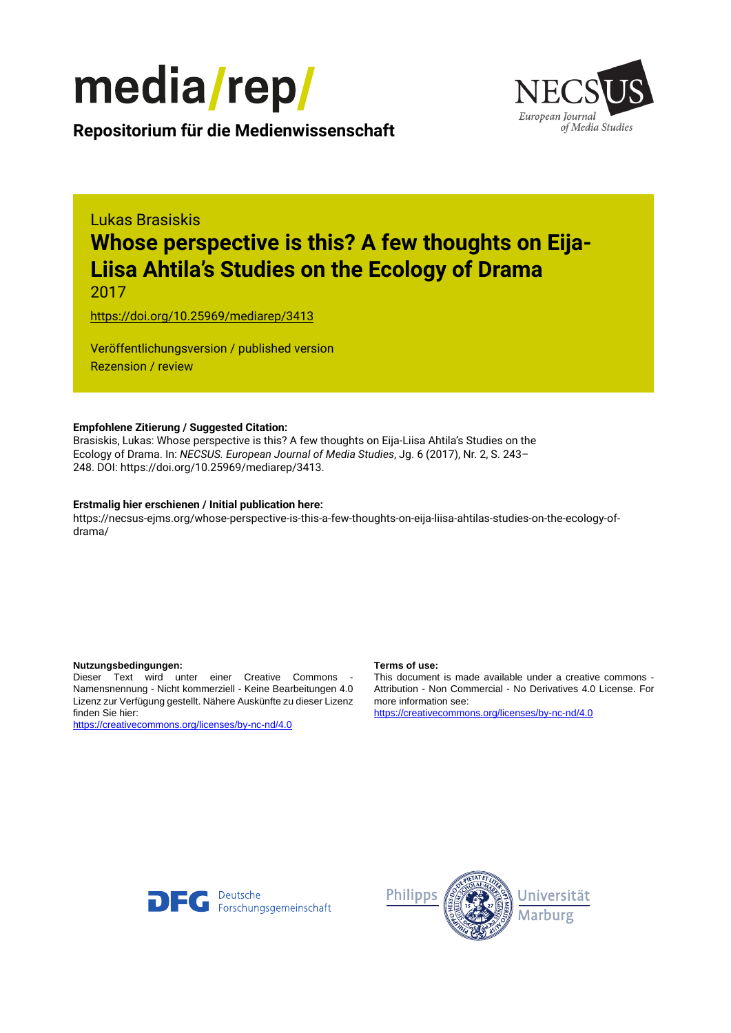

European Journal of Media Studies

**Repositorium für die [Medienwissenschaft](https://mediarep.org)**

# Lukas Brasiskis **Whose perspective is this? A few thoughts on Eija-Liisa Ahtila's Studies on the Ecology of Drama**

2017

<https://doi.org/10.25969/mediarep/3413>

Veröffentlichungsversion / published version Rezension / review

#### **Empfohlene Zitierung / Suggested Citation:**

Brasiskis, Lukas: Whose perspective is this? A few thoughts on Eija-Liisa Ahtila's Studies on the Ecology of Drama. In: *NECSUS. European Journal of Media Studies*, Jg. 6 (2017), Nr. 2, S. 243– 248. DOI: https://doi.org/10.25969/mediarep/3413.

#### **Erstmalig hier erschienen / Initial publication here:**

https://necsus-ejms.org/whose-perspective-is-this-a-few-thoughts-on-eija-liisa-ahtilas-studies-on-the-ecology-ofdrama/

#### **Nutzungsbedingungen: Terms of use:**

Dieser Text wird unter einer Creative Commons - Namensnennung - Nicht kommerziell - Keine Bearbeitungen 4.0 Lizenz zur Verfügung gestellt. Nähere Auskünfte zu dieser Lizenz finden Sie hier:

<https://creativecommons.org/licenses/by-nc-nd/4.0>

This document is made available under a creative commons - Attribution - Non Commercial - No Derivatives 4.0 License. For more information see:

<https://creativecommons.org/licenses/by-nc-nd/4.0>



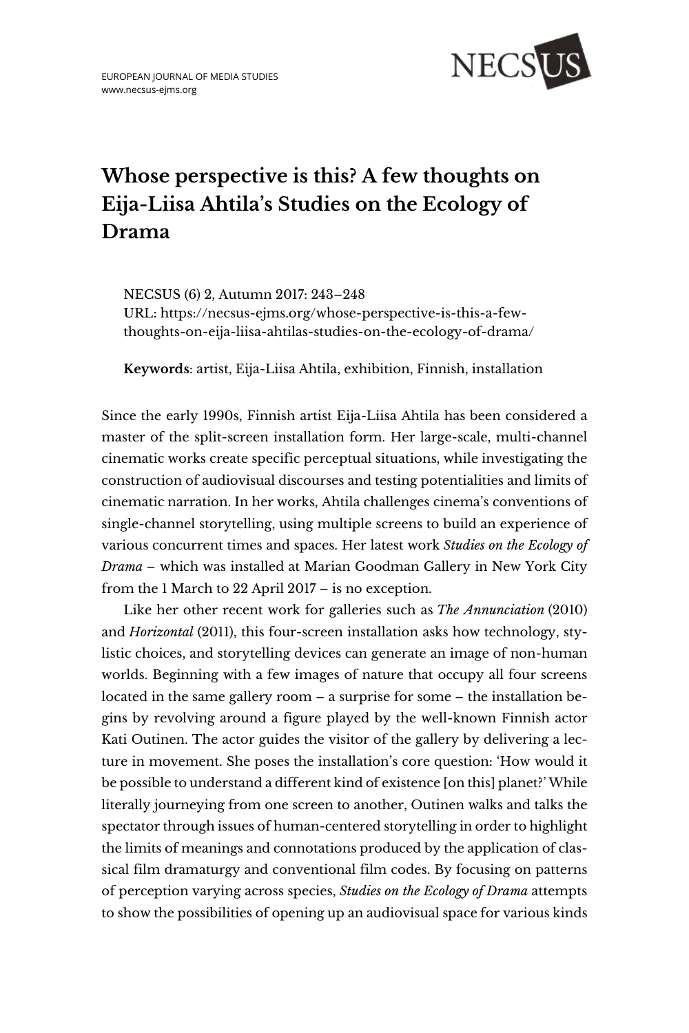

## **Whose perspective is this? A few thoughts on Eija-Liisa Ahtila's Studies on the Ecology of Drama**

NECSUS (6) 2, [Autumn 2017:](https://necsus-ejms.org/category/autumn-2017_dress/) 243–248 URL: [https://necsus-ejms.org/whose-perspective-is-this-a-few](https://necsus-ejms.org/whose-perspective-is-this-a-few-thoughts-on-eija-liisa-ahtilas-studies-on-the-ecology-of-drama/)[thoughts-on-eija-liisa-ahtilas-studies-on-the-ecology-of-drama/](https://necsus-ejms.org/whose-perspective-is-this-a-few-thoughts-on-eija-liisa-ahtilas-studies-on-the-ecology-of-drama/)

**Keywords**: [artist,](https://necsus-ejms.org/tag/artist/) [Eija-Liisa Ahtila,](https://necsus-ejms.org/tag/eija-liisa-ahtila/) [exhibition,](https://necsus-ejms.org/tag/exhibition/) [Finnish,](https://necsus-ejms.org/tag/finnish/) [installation](https://necsus-ejms.org/tag/installation/)

Since the early 1990s, Finnish artist Eija-Liisa Ahtila has been considered a master of the split-screen installation form. Her large-scale, multi-channel cinematic works create specific perceptual situations, while investigating the construction of audiovisual discourses and testing potentialities and limits of cinematic narration. In her works, Ahtila challenges cinema's conventions of single-channel storytelling, using multiple screens to build an experience of various concurrent times and spaces. Her latest work *Studies on the Ecology of Drama* – which was installed at Marian Goodman Gallery in New York City from the 1 March to 22 April 2017 – is no exception.

Like her other recent work for galleries such as *The Annunciation* (2010) and *Horizontal* (2011), this four-screen installation asks how technology, stylistic choices, and storytelling devices can generate an image of non-human worlds. Beginning with a few images of nature that occupy all four screens located in the same gallery room – a surprise for some – the installation begins by revolving around a figure played by the well-known Finnish actor Kati Outinen. The actor guides the visitor of the gallery by delivering a lecture in movement. She poses the installation's core question: 'How would it be possible to understand a different kind of existence [on this] planet?' While literally journeying from one screen to another, Outinen walks and talks the spectator through issues of human-centered storytelling in order to highlight the limits of meanings and connotations produced by the application of classical film dramaturgy and conventional film codes. By focusing on patterns of perception varying across species, *Studies on the Ecology of Drama* attempts to show the possibilities of opening up an audiovisual space for various kinds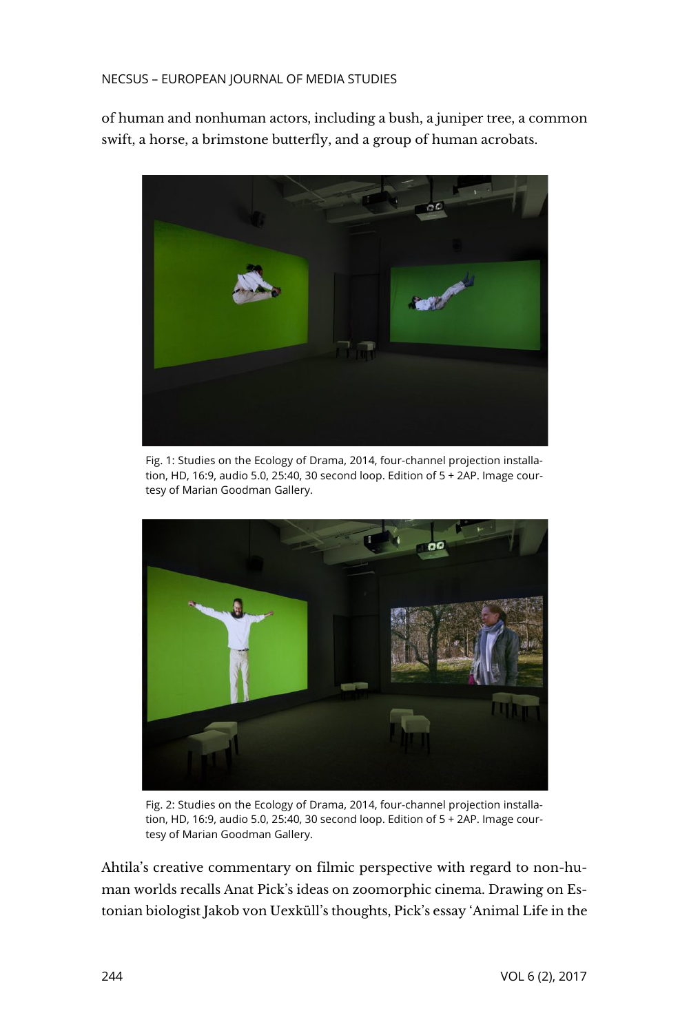#### NECSUS – EUROPEAN JOURNAL OF MEDIA STUDIES

of human and nonhuman actors, including a bush, a juniper tree, a common swift, a horse, a brimstone butterfly, and a group of human acrobats.



Fig. 1: Studies on the Ecology of Drama, 2014, four-channel projection installation, HD, 16:9, audio 5.0, 25:40, 30 second loop. Edition of 5 + 2AP. Image courtesy of Marian Goodman Gallery.



Fig. 2: Studies on the Ecology of Drama, 2014, four-channel projection installation, HD, 16:9, audio 5.0, 25:40, 30 second loop. Edition of 5 + 2AP. Image courtesy of Marian Goodman Gallery.

Ahtila's creative commentary on filmic perspective with regard to non-human worlds recalls Anat Pick's ideas on zoomorphic cinema. Drawing on Estonian biologist Jakob von Uexküll's thoughts, Pick's essay 'Animal Life in the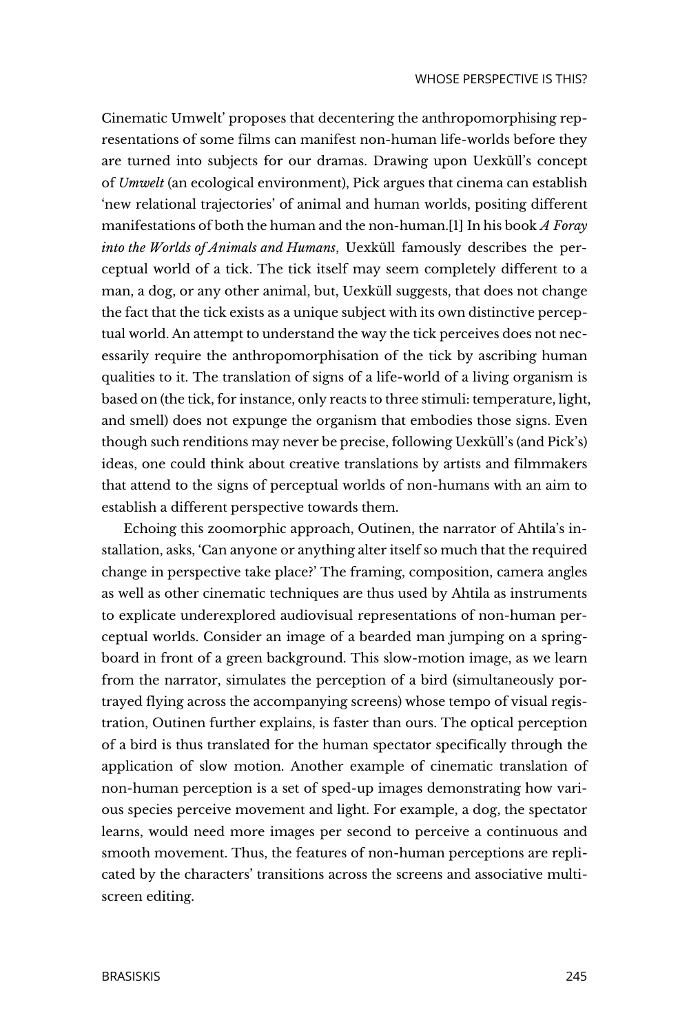Cinematic Umwelt' proposes that decentering the anthropomorphising representations of some films can manifest non-human life-worlds before they are turned into subjects for our dramas. Drawing upon Uexküll's concept of *Umwelt* (an ecological environment), Pick argues that cinema can establish 'new relational trajectories' of animal and human worlds, positing different manifestations of both the human and the non-human.[1] In his book *A Foray into the Worlds of Animals and Humans*, Uexküll famously describes the perceptual world of a tick. The tick itself may seem completely different to a man, a dog, or any other animal, but, Uexküll suggests, that does not change the fact that the tick exists as a unique subject with its own distinctive perceptual world. An attempt to understand the way the tick perceives does not necessarily require the anthropomorphisation of the tick by ascribing human qualities to it. The translation of signs of a life-world of a living organism is based on (the tick, for instance, only reacts to three stimuli: temperature, light, and smell) does not expunge the organism that embodies those signs. Even though such renditions may never be precise, following Uexküll's (and Pick's) ideas, one could think about creative translations by artists and filmmakers that attend to the signs of perceptual worlds of non-humans with an aim to establish a different perspective towards them.

Echoing this zoomorphic approach, Outinen, the narrator of Ahtila's installation, asks, 'Can anyone or anything alter itself so much that the required change in perspective take place?' The framing, composition, camera angles as well as other cinematic techniques are thus used by Ahtila as instruments to explicate underexplored audiovisual representations of non-human perceptual worlds. Consider an image of a bearded man jumping on a springboard in front of a green background. This slow-motion image, as we learn from the narrator, simulates the perception of a bird (simultaneously portrayed flying across the accompanying screens) whose tempo of visual registration, Outinen further explains, is faster than ours. The optical perception of a bird is thus translated for the human spectator specifically through the application of slow motion. Another example of cinematic translation of non-human perception is a set of sped-up images demonstrating how various species perceive movement and light. For example, a dog, the spectator learns, would need more images per second to perceive a continuous and smooth movement. Thus, the features of non-human perceptions are replicated by the characters' transitions across the screens and associative multiscreen editing.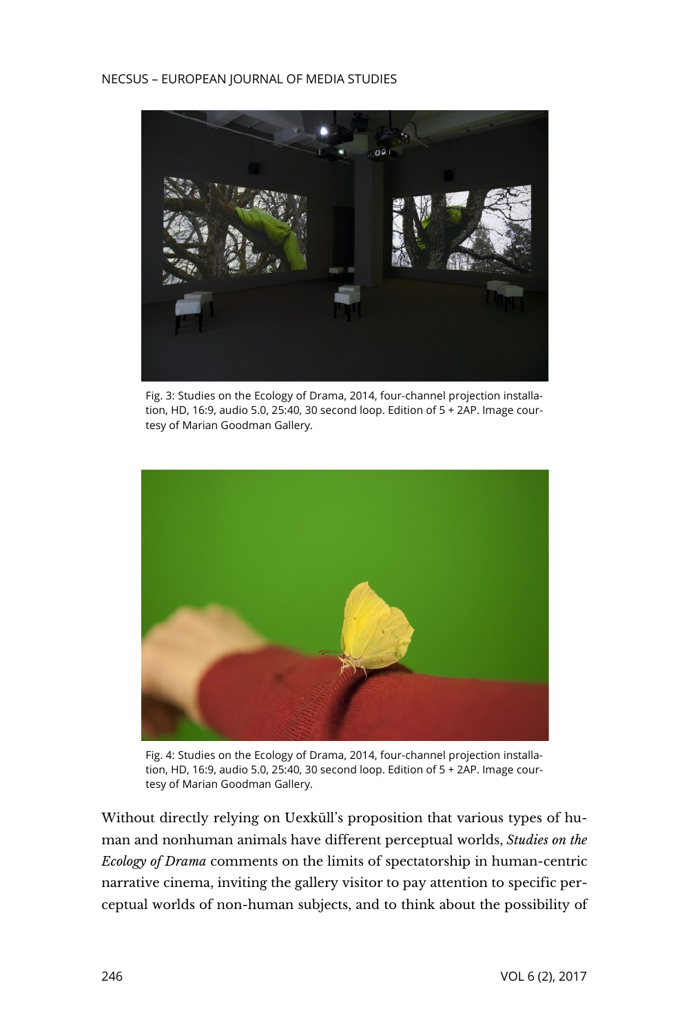#### NECSUS – EUROPEAN JOURNAL OF MEDIA STUDIES



Fig. 3: Studies on the Ecology of Drama, 2014, four-channel projection installation, HD, 16:9, audio 5.0, 25:40, 30 second loop. Edition of 5 + 2AP. Image courtesy of Marian Goodman Gallery.



Fig. 4: Studies on the Ecology of Drama, 2014, four-channel projection installation, HD, 16:9, audio 5.0, 25:40, 30 second loop. Edition of 5 + 2AP. Image courtesy of Marian Goodman Gallery.

Without directly relying on Uexküll's proposition that various types of human and nonhuman animals have different perceptual worlds, *Studies on the Ecology of Drama* comments on the limits of spectatorship in human-centric narrative cinema, inviting the gallery visitor to pay attention to specific perceptual worlds of non-human subjects, and to think about the possibility of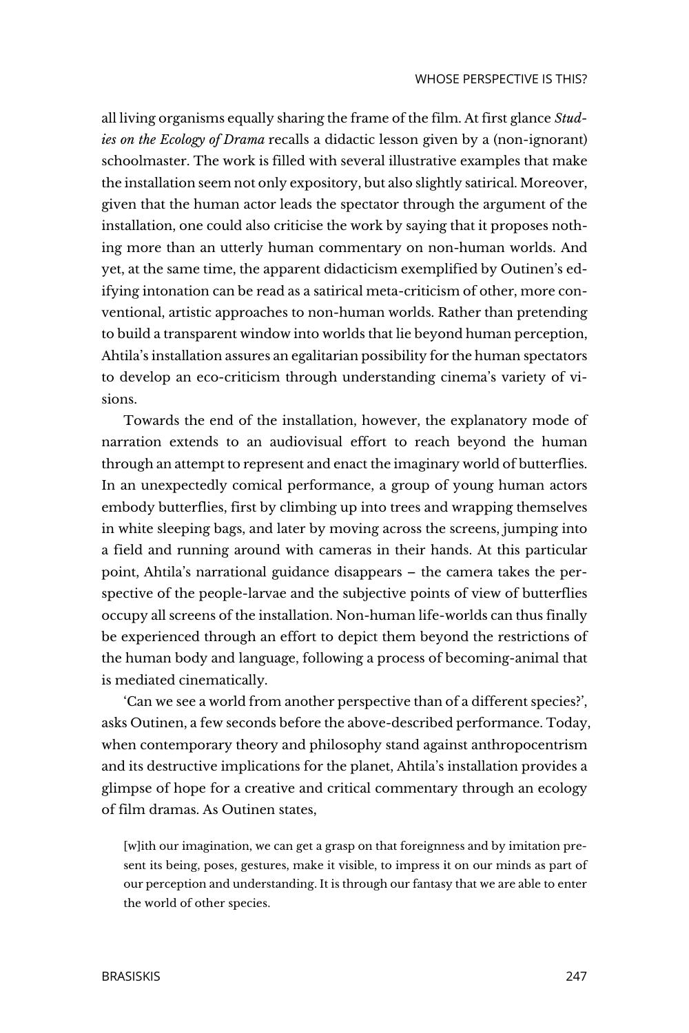all living organisms equally sharing the frame of the film. At first glance *Studies on the Ecology of Drama* recalls a didactic lesson given by a (non-ignorant) schoolmaster. The work is filled with several illustrative examples that make the installation seem not only expository, but also slightly satirical. Moreover, given that the human actor leads the spectator through the argument of the installation, one could also criticise the work by saying that it proposes nothing more than an utterly human commentary on non-human worlds. And yet, at the same time, the apparent didacticism exemplified by Outinen's edifying intonation can be read as a satirical meta-criticism of other, more conventional, artistic approaches to non-human worlds. Rather than pretending to build a transparent window into worlds that lie beyond human perception, Ahtila's installation assures an egalitarian possibility for the human spectators to develop an eco-criticism through understanding cinema's variety of visions.

Towards the end of the installation, however, the explanatory mode of narration extends to an audiovisual effort to reach beyond the human through an attempt to represent and enact the imaginary world of butterflies. In an unexpectedly comical performance, a group of young human actors embody butterflies, first by climbing up into trees and wrapping themselves in white sleeping bags, and later by moving across the screens, jumping into a field and running around with cameras in their hands. At this particular point, Ahtila's narrational guidance disappears – the camera takes the perspective of the people-larvae and the subjective points of view of butterflies occupy all screens of the installation. Non-human life-worlds can thus finally be experienced through an effort to depict them beyond the restrictions of the human body and language, following a process of becoming-animal that is mediated cinematically.

'Can we see a world from another perspective than of a different species?', asks Outinen, a few seconds before the above-described performance. Today, when contemporary theory and philosophy stand against anthropocentrism and its destructive implications for the planet, Ahtila's installation provides a glimpse of hope for a creative and critical commentary through an ecology of film dramas. As Outinen states,

[w]ith our imagination, we can get a grasp on that foreignness and by imitation present its being, poses, gestures, make it visible, to impress it on our minds as part of our perception and understanding. It is through our fantasy that we are able to enter the world of other species.